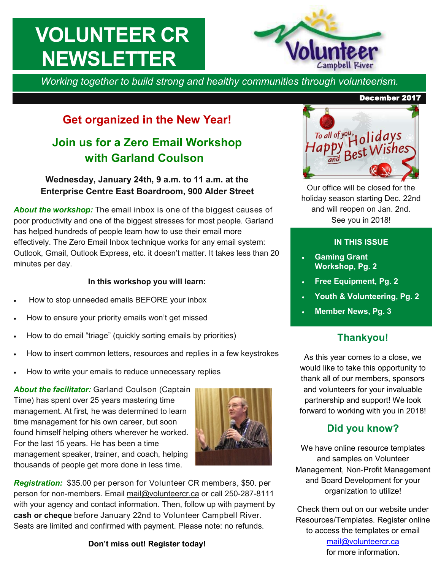# **VOLUNTEER CR NEWSLETTER**



*Working together to build strong and healthy communities through volunteerism.* 

# **Get organized in the New Year!**

# **Join us for a Zero Email Workshop with Garland Coulson**

#### **Wednesday, January 24th, 9 a.m. to 11 a.m. at the Enterprise Centre East Boardroom, 900 Alder Street**

*About the workshop:* The email inbox is one of the biggest causes of poor productivity and one of the biggest stresses for most people. Garland has helped hundreds of people learn how to use their email more effectively. The Zero Email Inbox technique works for any email system: Outlook, Gmail, Outlook Express, etc. it doesn't matter. It takes less than 20 minutes per day.

#### **In this workshop you will learn:**

- How to stop unneeded emails BEFORE your inbox
- How to ensure your priority emails won't get missed
- How to do email "triage" (quickly sorting emails by priorities)
- How to insert common letters, resources and replies in a few keystrokes
- How to write your emails to reduce unnecessary replies

About the facilitator: Garland Coulson (Captain Time) has spent over 25 years mastering time management. At first, he was determined to learn time management for his own career, but soon found himself helping others wherever he worked. For the last 15 years. He has been a time management speaker, trainer, and coach, helping thousands of people get more done in less time.



*Registration:* \$35.00 per person for Volunteer CR members, \$50. per person for non-members. Email [mail@volunteercr.ca](mailto:mail@volunteercr.ca) or call 250-287-8111 with your agency and contact information. Then, follow up with payment by **cash or cheque** before January 22nd to Volunteer Campbell River. Seats are limited and confirmed with payment. Please note: no refunds.

#### **Don't miss out! Register today!**

# To all of you, a lidays Best Wishes

Our office will be closed for the holiday season starting Dec. 22nd and will reopen on Jan. 2nd. See you in 2018!

#### **IN THIS ISSUE**

- **Gaming Grant Workshop, Pg. 2**
- **Free Equipment, Pg. 2**
- **Youth & Volunteering, Pg. 2**
- **Member News, Pg. 3**

#### **Thankyou!**

As this year comes to a close, we would like to take this opportunity to thank all of our members, sponsors and volunteers for your invaluable partnership and support! We look forward to working with you in 2018!

#### **Did you know?**

We have online resource templates and samples on Volunteer Management, Non-Profit Management and Board Development for your organization to utilize!

Check them out on our website under Resources/Templates. Register online to access the templates or email [mail@volunteercr.ca](mailto:mail@volunteercr.ca) 

for more information.

#### December 2017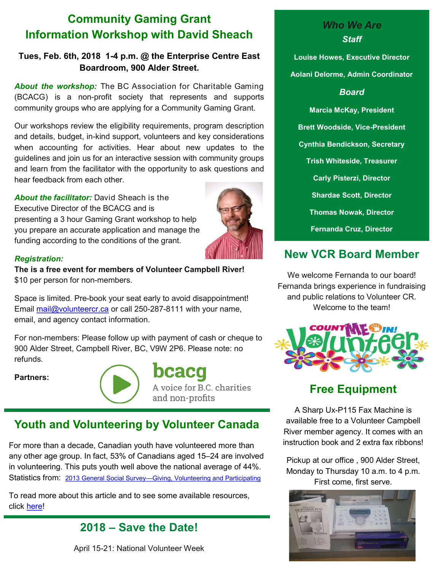# **Community Gaming Grant Information Workshop with David Sheach**

#### **Tues, Feb. 6th, 2018 1-4 p.m. @ the Enterprise Centre East Boardroom, 900 Alder Street.**

*About the workshop:* The BC Association for Charitable Gaming (BCACG) is a non-profit society that represents and supports community groups who are applying for a Community Gaming Grant.

Our workshops review the eligibility requirements, program description and details, budget, in-kind support, volunteers and key considerations when accounting for activities. Hear about new updates to the guidelines and join us for an interactive session with community groups and learn from the facilitator with the opportunity to ask questions and hear feedback from each other.

*About the facilitator:* David Sheach is the Executive Director of the BCACG and is presenting a 3 hour Gaming Grant workshop to help you prepare an accurate application and manage the funding according to the conditions of the grant.



#### *Registration:*

**The is a free event for members of Volunteer Campbell River!**  \$10 per person for non-members.

Space is limited. Pre-book your seat early to avoid disappointment! Email [mail@volunteercr.ca](mailto:mail@volunteercr.ca) or call 250-287-8111 with your name, email, and agency contact information.

For non-members: Please follow up with payment of cash or cheque to 900 Alder Street, Campbell River, BC, V9W 2P6. Please note: no refunds.

**Partners:** 



bcacq A voice for B.C. charities and non-profits

# **Youth and Volunteering by Volunteer Canada**

For more than a decade, Canadian youth have volunteered more than any other age group. In fact, 53% of Canadians aged 15–24 are involved in volunteering. This puts youth well above the national average of 44%. Statistics from: [2013 General Social Survey—Giving, Volunteering and Participating](https://volunteer.ca/gvp)

To read more about this article and to see some available resources, click [here!](https://volunteer.ca/youth)

#### **2018 – Save the Date!**

April 15-21: National Volunteer Week

#### *Who We Are Staff*

**Louise Howes, Executive Director Aolani Delorme, Admin Coordinator**

*Board*

**Marcia McKay, President Brett Woodside, Vice-President Cynthia Bendickson, Secretary Trish Whiteside, Treasurer Carly Pisterzi, Director Shardae Scott, Director Thomas Nowak, Director Fernanda Cruz, Director**

# **New VCR Board Member**

We welcome Fernanda to our board! Fernanda brings experience in fundraising and public relations to Volunteer CR. Welcome to the team!



### **Free Equipment**

A Sharp Ux-P115 Fax Machine is available free to a Volunteer Campbell River member agency. It comes with an instruction book and 2 extra fax ribbons!

Pickup at our office , 900 Alder Street, Monday to Thursday 10 a.m. to 4 p.m. First come, first serve.